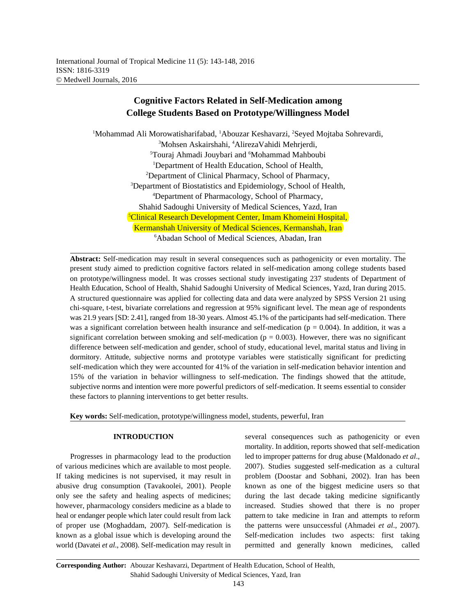# **Cognitive Factors Related in Self-Medication among College Students Based on Prototype/Willingness Model**

<sup>1</sup>Mohammad Ali Morowatisharifabad, <sup>1</sup>Abouzar Keshavarzi, <sup>2</sup>Seyed Mojtaba Sohrevardi, <sup>3</sup>Mohsen Askairshahi, <sup>4</sup>AlirezaVahidi Mehrjerdi, <sup>5</sup>Touraj Ahmadi Jouybari and <sup>6</sup>Mohammad Mahboubi <sup>1</sup>Department of Health Education, School of Health, <sup>2</sup>Department of Clinical Pharmacy, School of Pharmacy, <sup>3</sup>Department of Biostatistics and Epidemiology, School of Health, Department of Pharmacology, School of Pharmacy, <sup>4</sup> Shahid Sadoughi University of Medical Sciences, Yazd, Iran <sup>5</sup>Clinical Research Development Center, Imam Khomeini Hospital, Kermanshah University of Medical Sciences, Kermanshah, Iran <sup>6</sup>Abadan School of Medical Sciences, Abadan, Iran

**Abstract:** Self-medication may result in several consequences such as pathogenicity or even mortality. The present study aimed to prediction cognitive factors related in self-medication among college students based on prototype/willingness model. It was crosses sectional study investigating 237 students of Department of Health Education, School of Health, Shahid Sadoughi University of Medical Sciences, Yazd, Iran during 2015. A structured questionnaire was applied for collecting data and data were analyzed by SPSS Version 21 using chi-square, t-test, bivariate correlations and regression at 95% significant level. The mean age of respondents was 21.9 years [SD: 2.41], ranged from 18-30 years. Almost 45.1% of the participants had self-medication. There was a significant correlation between health insurance and self-medication ( $p = 0.004$ ). In addition, it was a significant correlation between smoking and self-medication ( $p = 0.003$ ). However, there was no significant difference between self-medication and gender, school of study, educational level, marital status and living in dormitory. Attitude, subjective norms and prototype variables were statistically significant for predicting self-medication which they were accounted for 41% of the variation in self-medication behavior intention and 15% of the variation in behavior willingness to self-medication. The findings showed that the attitude, subjective norms and intention were more powerful predictors of self-medication. It seems essential to consider these factors to planning interventions to get better results.

**Key words:** Self-medication, prototype/willingness model, students, pewerful, Iran

of various medicines which are available to most people. 2007). Studies suggested self-medication as a cultural If taking medicines is not supervised, it may result in problem (Doostar and Sobhani, 2002). Iran has been abusive drug consumption (Tavakoolei, 2001). People known as one of the biggest medicine users so that only see the safety and healing aspects of medicines; during the last decade taking medicine significantly however, pharmacology considers medicine as a blade to increased. Studies showed that there is no proper heal or endanger people which later could result from lack pattern to take medicine in Iran and attempts to reform of proper use (Moghaddam, 2007). Self-medication is the patterns were unsuccessful (Ahmadei *et al*., 2007). known as a global issue which is developing around the Self-medication includes two aspects: first taking world (Davatei *et al*., 2008). Self-medication may result in permitted and generally known medicines, called

**INTRODUCTION** several consequences such as pathogenicity or even Progresses in pharmacology lead to the production led to improper patterns for drug abuse (Maldonado *et al*., mortality. In addition, reports showed that self-medication

**Corresponding Author:** Abouzar Keshavarzi, Department of Health Education, School of Health, Shahid Sadoughi University of Medical Sciences, Yazd, Iran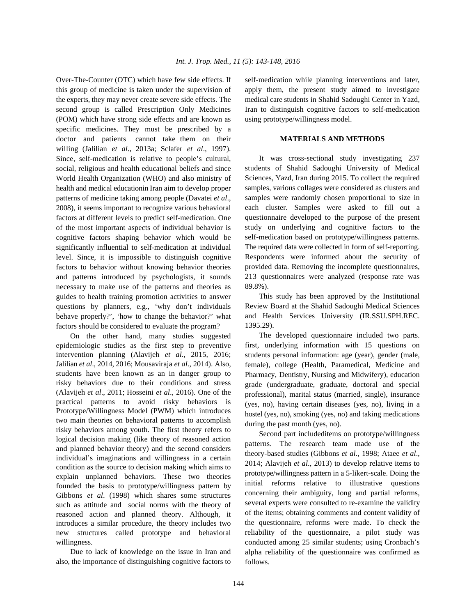this group of medicine is taken under the supervision of apply them, the present study aimed to investigate the experts, they may never create severe side effects. The medical care students in Shahid Sadoughi Center in Yazd, second group is called Prescription Only Medicines Iran to distinguish cognitive factors to self-medication (POM) which have strong side effects and are known as using prototype/willingness model. specific medicines. They must be prescribed by a doctor and patients cannot take them on their willing (Jalilian *et al*., 2013a; Sclafer *et al*., 1997). Since, self-medication is relative to people's cultural, social, religious and health educational beliefs and since World Health Organization (WHO) and also ministry of health and medical educationin Iran aim to develop proper patterns of medicine taking among people (Davatei *et al*., 2008), it seems important to recognize various behavioral factors at different levels to predict self-medication. One of the most important aspects of individual behavior is cognitive factors shaping behavior which would be significantly influential to self-medication at individual level. Since, it is impossible to distinguish cognitive factors to behavior without knowing behavior theories and patterns introduced by psychologists, it sounds necessary to make use of the patterns and theories as guides to health training promotion activities to answer questions by planners, e.g., 'why don't individuals behave properly?', 'how to change the behavior?' what factors should be considered to evaluate the program?

On the other hand, many studies suggested epidemiologic studies as the first step to preventive intervention planning (Alavijeh *et al*., 2015, 2016; Jalilian *et al*., 2014, 2016; Mousaviraja *et al*., 2014). Also, students have been known as an in danger group to risky behaviors due to their conditions and stress (Alavijeh *et al*., 2011; Hosseini *et al*., 2016). One of the practical patterns to avoid risky behaviors is Prototype/Willingness Model (PWM) which introduces two main theories on behavioral patterns to accomplish risky behaviors among youth. The first theory refers to logical decision making (like theory of reasoned action and planned behavior theory) and the second considers individual's imaginations and willingness in a certain condition as the source to decision making which aims to explain unplanned behaviors. These two theories founded the basis to prototype/willingness pattern by Gibbons *et al*. (1998) which shares some structures such as attitude and social norms with the theory of reasoned action and planned theory. Although, it introduces a similar procedure, the theory includes two new structures called prototype and behavioral willingness.

Due to lack of knowledge on the issue in Iran and also, the importance of distinguishing cognitive factors to

Over-The-Counter (OTC) which have few side effects. If self-medication while planning interventions and later,

## **MATERIALS AND METHODS**

It was cross-sectional study investigating 237 students of Shahid Sadoughi University of Medical Sciences, Yazd, Iran during 2015. To collect the required samples, various collages were considered as clusters and samples were randomly chosen proportional to size in each cluster. Samples were asked to fill out a questionnaire developed to the purpose of the present study on underlying and cognitive factors to the self-medication based on prototype/willingness patterns. The required data were collected in form of self-reporting. Respondents were informed about the security of provided data. Removing the incomplete questionnaires, 213 questionnaires were analyzed (response rate was 89.8%).

This study has been approved by the Institutional Review Board at the Shahid Sadoughi Medical Sciences and Health Services University (IR.SSU.SPH.REC. 1395.29).

The developed questionnaire included two parts. first, underlying information with 15 questions on students personal information: age (year), gender (male, female), college (Health, Paramedical, Medicine and Pharmacy, Dentistry, Nursing and Midwifery), education grade (undergraduate, graduate, doctoral and special professional), marital status (married, single), insurance (yes, no), having certain diseases (yes, no), living in a hostel (yes, no), smoking (yes, no) and taking medications during the past month (yes, no).

Second part includeditems on prototype/willingness patterns. The research team made use of the theory-based studies (Gibbons *et al*., 1998; Ataee *et al*., 2014; Alavijeh *et al*., 2013) to develop relative items to prototype/willingness pattern in a 5-likert-scale. Doing the initial reforms relative to illustrative questions concerning their ambiguity, long and partial reforms, several experts were consulted to re-examine the validity of the items; obtaining comments and content validity of the questionnaire, reforms were made. To check the reliability of the questionnaire, a pilot study was conducted among 25 similar students; using Cronbach's alpha reliability of the questionnaire was confirmed as follows.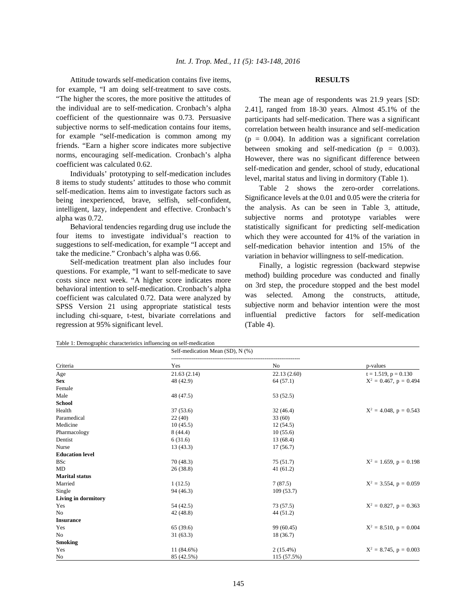Attitude towards self-medication contains five items, **RESULTS** for example, "I am doing self-treatment to save costs. "The higher the scores, the more positive the attitudes of the individual are to self-medication. Cronbach's alpha coefficient of the questionnaire was 0.73. Persuasive subjective norms to self-medication contains four items, for example "self-medication is common among my friends. "Earn a higher score indicates more subjective norms, encouraging self-medication. Cronbach's alpha coefficient was calculated 0.62.

Individuals' prototyping to self-medication includes 8 items to study students' attitudes to those who commit self-medication. Items aim to investigate factors such as being inexperienced, brave, selfish, self-confident, intelligent, lazy, independent and effective. Cronbach's alpha was 0.72.

Behavioral tendencies regarding drug use include the four items to investigate individual's reaction to suggestions to self-medication, for example "I accept and take the medicine." Cronbach's alpha was 0.66.

Self-medication treatment plan also includes four questions. For example, "I want to self-medicate to save costs since next week. "A higher score indicates more behavioral intention to self-medication. Cronbach's alpha coefficient was calculated 0.72. Data were analyzed by SPSS Version 21 using appropriate statistical tests including chi-square, t-test, bivariate correlations and regression at 95% significant level.

The mean age of respondents was 21.9 years [SD: 2.41], ranged from 18-30 years. Almost 45.1% of the participants had self-medication. There was a significant correlation between health insurance and self-medication  $(p = 0.004)$ . In addition was a significant correlation between smoking and self-medication ( $p = 0.003$ ). However, there was no significant difference between self-medication and gender, school of study, educational level, marital status and living in dormitory (Table 1).

Table 2 shows the zero-order correlations. Significance levels at the 0.01 and 0.05 were the criteria for the analysis. As can be seen in Table 3, attitude, subjective norms and prototype variables were statistically significant for predicting self-medication which they were accounted for 41% of the variation in self-medication behavior intention and 15% of the variation in behavior willingness to self-medication.

Finally, a logistic regression (backward stepwise method) building procedure was conducted and finally on 3rd step, the procedure stopped and the best model was selected. Among the constructs, attitude, subjective norm and behavior intention were the most influential predictive factors for self-medication (Table 4).

Table 1: Demographic characteristics influencing on self-medication

| Criteria               | Self-medication Mean (SD), N (%) |             |                           |
|------------------------|----------------------------------|-------------|---------------------------|
|                        | Yes                              | No          | p-values                  |
| Age                    | 21.63(2.14)                      | 22.13(2.60) | $t = 1.519$ , $p = 0.130$ |
| <b>Sex</b>             | 48 (42.9)                        | 64(57.1)    | $X^2 = 0.467$ , p = 0.494 |
| Female                 |                                  |             |                           |
| Male                   | 48 (47.5)                        | 53 (52.5)   |                           |
| <b>School</b>          |                                  |             |                           |
| Health                 | 37(53.6)                         | 32(46.4)    | $X^2 = 4.048$ , p = 0.543 |
| Paramedical            | 22(40)                           | 33(60)      |                           |
| Medicine               | 10(45.5)                         | 12(54.5)    |                           |
| Pharmacology           | 8(44.4)                          | 10(55.6)    |                           |
| Dentist                | 6(31.6)                          | 13(68.4)    |                           |
| Nurse                  | 13(43.3)                         | 17(56.7)    |                           |
| <b>Education level</b> |                                  |             |                           |
| <b>BSc</b>             | 70(48.3)                         | 75(51.7)    | $X^2 = 1.659$ , p = 0.198 |
| MD                     | 26(38.8)                         | 41(61.2)    |                           |
| <b>Marital status</b>  |                                  |             |                           |
| Married                | 1(12.5)                          | 7(87.5)     | $X^2 = 3.554$ , p = 0.059 |
| Single                 | 94 (46.3)                        | 109(53.7)   |                           |
| Living in dormitory    |                                  |             |                           |
| Yes                    | 54 (42.5)                        | 73(57.5)    | $X^2 = 0.827$ , p = 0.363 |
| N <sub>o</sub>         | 42(48.8)                         | 44 (51.2)   |                           |
| <b>Insurance</b>       |                                  |             |                           |
| Yes                    | 65 (39.6)                        | 99 (60.45)  | $X^2 = 8.510$ , p = 0.004 |
| No                     | 31(63.3)                         | 18 (36.7)   |                           |
| <b>Smoking</b>         |                                  |             |                           |
| Yes                    | 11 (84.6%)                       | $2(15.4\%)$ | $X^2 = 8.745$ , p = 0.003 |
| No                     | 85 (42.5%)                       | 115 (57.5%) |                           |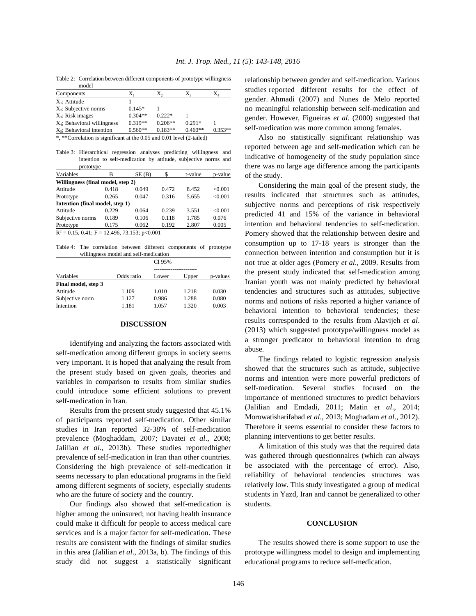Table 2: Correlation between different components of prototype willingness model

| Components                                                            | $X_{1}$   | $X_{2}$   | $X_{3}$   | $X_4$     |
|-----------------------------------------------------------------------|-----------|-----------|-----------|-----------|
| $X_1$ ; Attitude                                                      |           |           |           |           |
| $X_2$ ; Subjective norms                                              | $0.145*$  |           |           |           |
| $X_3$ ; Risk images                                                   | $0.304**$ | $0.222*$  |           |           |
| $X_4$ ; Behavioral willingness                                        | $0.319**$ | $0.206**$ | $0.291*$  |           |
| $X_5$ ; Behavioral intention                                          | $0.560**$ | $0.183**$ | $0.460**$ | $0.353**$ |
| *, **Correlation is significant at the 0.05 and 0.01 level (2-tailed) |           |           |           |           |

Table 3: Hierarchical regression analyses predicting willingness and intention to self-medication by attitude, subjective norms and

| prototype                                           |          |       |       |         |         |
|-----------------------------------------------------|----------|-------|-------|---------|---------|
| Variables                                           | в        | SE(B) | \$    | t-value | p-value |
| Willingness (final model, step 2)                   |          |       |       |         |         |
| Attitude                                            | 0.418    | 0.049 | 0.472 | 8.452   | <0.001  |
| Prototype                                           | 0.265    | 0.047 | 0.316 | 5.655   | < 0.001 |
| Intention (final model, step 1)                     |          |       |       |         |         |
| Attitude                                            | 0.229    | 0.064 | 0.239 | 3.551   | <0.001  |
| Subjective norms                                    | 0.189    | 0.106 | 0.118 | 1.785   | 0.076   |
| Prototype                                           | 0.175    | 0.062 | 0.192 | 2.807   | 0.005   |
| $\mathbf{r}$<br>0.17011<br>$\overline{\phantom{a}}$ | $\cdots$ | 0.001 |       |         |         |

 $R^2 = 0.15, 0.41; F = 12.496, 73.153; p<0.001$ 

Table 4: The correlation between different components of prototype willingness model and self-medication

|                     |            | CI 95% |       |          |
|---------------------|------------|--------|-------|----------|
| Variables           | Odds ratio | Lower  | Upper | p-values |
| Final model, step 3 |            |        |       |          |
| Attitude            | 1.109      | 1.010  | 1.218 | 0.030    |
| Subjective norm     | 1.127      | 0.986  | 1.288 | 0.080    |
| Intention           | 1.181      | 1.057  | 1.320 | 0.003    |

### **DISCUSSION**

Identifying and analyzing the factors associated with self-medication among different groups in society seems very important. It is hoped that analyzing the result from the present study based on given goals, theories and variables in comparison to results from similar studies could introduce some efficient solutions to prevent self-medication in Iran.

Results from the present study suggested that 45.1% of participants reported self-medication. Other similar studies in Iran reported 32-38% of self-medication prevalence (Moghaddam, 2007; Davatei *et al*., 2008; Jalilian *et al*., 2013b). These studies reportedhigher prevalence of self-medication in Iran than other countries. Considering the high prevalence of self-medication it seems necessary to plan educational programs in the field among different segments of society, especially students who are the future of society and the country.

Our findings also showed that self-medication is higher among the uninsured; not having health insurance could make it difficult for people to access medical care services and is a major factor for self-medication. These results are consistent with the findings of similar studies in this area (Jalilian *et al*., 2013a, b). The findings of this study did not suggest a statistically significant relationship between gender and self-medication. Various studies reported different results for the effect of gender. Ahmadi (2007) and Nunes de Melo reported no meaningful relationship between self-medication and gender. However, Figueiras *et al*. (2000) suggested that self-medication was more common among females.

Also no statistically significant relationship was reported between age and self-medication which can be indicative of homogeneity of the study population since there was no large age difference among the participants of the study.

Considering the main goal of the present study, the results indicated that structures such as attitudes, subjective norms and perceptions of risk respectively predicted 41 and 15% of the variance in behavioral intention and behavioral tendencies to self-medication. Pomery showed that the relationship between desire and consumption up to 17-18 years is stronger than the connection between intention and consumption but it is not true at older ages (Pomery *et al*., 2009. Results from the present study indicated that self-medication among Iranian youth was not mainly predicted by behavioral tendencies and structures such as attitudes, subjective norms and notions of risks reported a higher variance of behavioral intention to behavioral tendencies; these results corresponded to the results from Alavijeh *et al*. (2013) which suggested prototype/willingness model as a stronger predicator to behavioral intention to drug abuse.

The findings related to logistic regression analysis showed that the structures such as attitude, subjective norms and intention were more powerful predictors of self-medication. Several studies focused on the importance of mentioned structures to predict behaviors (Jalilian and Emdadi, 2011; Matin *et al*., 2014; Morowatisharifabad *et al*., 2013; Moghadam *et al*., 2012). Therefore it seems essential to consider these factors to planning interventions to get better results.

A limitation of this study was that the required data was gathered through questionnaires (which can always be associated with the percentage of error). Also, reliability of behavioral tendencies structures was relatively low. This study investigated a group of medical students in Yazd, Iran and cannot be generalized to other students.

### **CONCLUSION**

The results showed there is some support to use the prototype willingness model to design and implementing educational programs to reduce self-medication.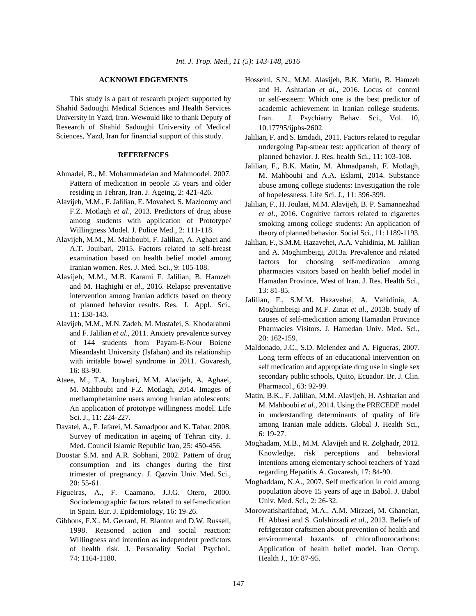This study is a part of research project supported by Shahid Sadoughi Medical Sciences and Health Services University in Yazd, Iran. Wewould like to thank Deputy of Research of Shahid Sadoughi University of Medical Sciences, Yazd, Iran for financial support of this study.

# **REFERENCES**

- Ahmadei, B., M. Mohammadeian and Mahmoodei, 2007. Pattern of medication in people 55 years and older residing in Tehran, Iran. J. Ageing, 2: 421-426.
- Alavijeh, M.M., F. Jalilian, E. Movahed, S. Mazloomy and F.Z. Motlagh *et al*., 2013. Predictors of drug abuse among students with application of Prototype/ Willingness Model. J. Police Med., 2: 111-118.
- Alavijeh, M.M., M. Mahboubi, F. Jalilian, A. Aghaei and A.T. Jouibari, 2015. Factors related to self-breast examination based on health belief model among Iranian women. Res. J. Med. Sci., 9: 105-108.
- Alavijeh, M.M., M.B. Karami F. Jalilian, B. Hamzeh and M. Haghighi *et al*., 2016. Relapse preventative intervention among Iranian addicts based on theory of planned behavior results. Res. J. Appl. Sci., 11: 138-143.
- Alavijeh, M.M., M.N. Zadeh, M. Mostafei, S. Khodarahmi and F. Jalilian *et al*., 2011. Anxiety prevalence survey of 144 students from Payam-E-Nour Boiene Mieandasht University (Isfahan) and its relationship with irritable bowel syndrome in 2011. Govaresh, 16: 83-90.
- Ataee, M., T.A. Jouybari, M.M. Alavijeh, A. Aghaei, M. Mahboubi and F.Z. Motlagh, 2014. Images of methamphetamine users among iranian adolescents: An application of prototype willingness model. Life Sci. J., 11: 224-227.
- Davatei, A., F. Jafarei, M. Samadpoor and K. Tabar, 2008. Survey of medication in ageing of Tehran city. J. Med. Council Islamic Republic Iran, 25: 450-456.
- Doostar S.M. and A.R. Sobhani, 2002. Pattern of drug consumption and its changes during the first trimester of pregnancy. J. Qazvin Univ. Med. Sci., 20: 55-61.
- Figueiras, A., F. Caamano, J.J.G. Otero, 2000. Sociodemographic factors related to self-medication in Spain. Eur. J. Epidemiology, 16: 19-26.
- Gibbons, F.X., M. Gerrard, H. Blanton and D.W. Russell, 1998. Reasoned action and social reaction: Willingness and intention as independent predictors of health risk. J. Personality Social Psychol., 74: 1164-1180.
- **ACKNOWLEDGEMENTS** Hosseini, S.N., M.M. Alavijeh, B.K. Matin, B. Hamzeh and H. Ashtarian *et al*., 2016. Locus of control or self-esteem: Which one is the best predictor of academic achievement in Iranian college students. Iran. J. Psychiatry Behav. Sci., Vol. 10, 10.17795/ijpbs-2602.
	- Jalilian, F. and S. Emdadi, 2011. Factors related to regular undergoing Pap-smear test: application of theory of planned behavior. J. Res. health Sci., 11: 103-108.
	- Jalilian, F., B.K. Matin, M. Ahmadpanah, F. Motlagh, M. Mahboubi and A.A. Eslami, 2014. Substance abuse among college students: Investigation the role of hopelessness. Life Sci. J., 11: 396-399.
	- Jalilian, F., H. Joulaei, M.M. Alavijeh, B. P. Samannezhad *et al*., 2016. Cognitive factors related to cigarettes smoking among college students: An application of theory of planned behavior. Social Sci., 11: 1189-1193.
	- Jalilian, F., S.M.M. Hazavehei, A.A. Vahidinia, M. Jalilian and A. Moghimbeigi, 2013a. Prevalence and related factors for choosing self-medication among pharmacies visitors based on health belief model in Hamadan Province, West of Iran. J. Res. Health Sci., 13: 81-85.
	- Jalilian, F., S.M.M. Hazavehei, A. Vahidinia, A. Moghimbeigi and M.F. Zinat *et al*., 2013b. Study of causes of self-medication among Hamadan Province Pharmacies Visitors. J. Hamedan Univ. Med. Sci., 20: 162-159.
	- Maldonado, J.C., S.D. Melendez and A. Figueras, 2007. Long term effects of an educational intervention on self medication and appropriate drug use in single sex secondary public schools, Quito, Ecuador. Br. J. Clin. Pharmacol., 63: 92-99.
	- Matin, B.K., F. Jalilian, M.M. Alavijeh, H. Ashtarian and M. Mahboubi *et al*., 2014. Using the PRECEDE model in understanding determinants of quality of life among Iranian male addicts. Global J. Health Sci., 6: 19-27.
	- Moghadam, M.B., M.M. Alavijeh and R. Zolghadr, 2012. Knowledge, risk perceptions and behavioral intentions among elementary school teachers of Yazd regarding Hepatitis A. Govaresh, 17: 84-90.
	- Moghaddam, N.A., 2007. Self medication in cold among population above 15 years of age in Babol. J. Babol Univ. Med. Sci., 2: 26-32.
	- Morowatisharifabad, M.A., A.M. Mirzaei, M. Ghaneian, H. Abbasi and S. Golshirzadi *et al*., 2013. Beliefs of refrigerator craftsmen about prevention of health and environmental hazards of chlorofluorocarbons: Application of health belief model. Iran Occup. Health J., 10: 87-95.